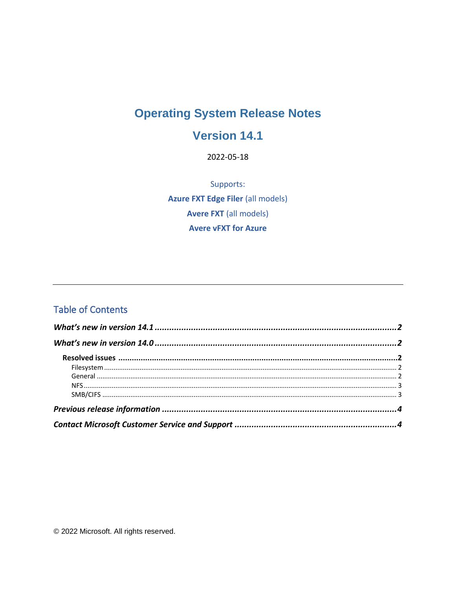# **Operating System Release Notes**

## Version 14.1

2022-05-18

Supports: **Azure FXT Edge Filer (all models) Avere FXT (all models) Avere vFXT for Azure** 

#### **Table of Contents**

© 2022 Microsoft. All rights reserved.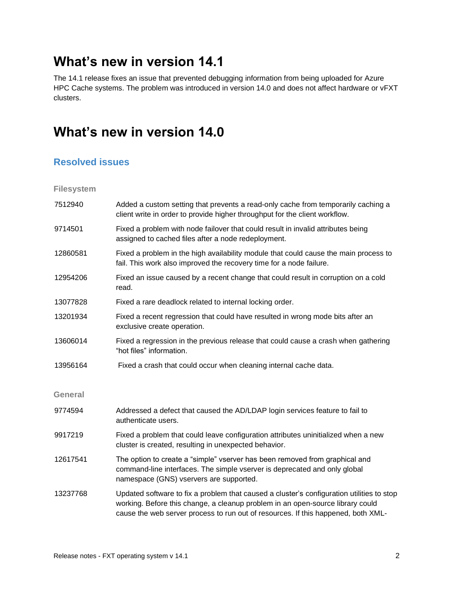# <span id="page-1-0"></span>**What's new in version 14.1**

The 14.1 release fixes an issue that prevented debugging information from being uploaded for Azure HPC Cache systems. The problem was introduced in version 14.0 and does not affect hardware or vFXT clusters.

## <span id="page-1-1"></span>**What's new in version 14.0**

#### <span id="page-1-2"></span>**Resolved issues**

<span id="page-1-3"></span>**Filesystem**

<span id="page-1-4"></span>

| 7512940        | Added a custom setting that prevents a read-only cache from temporarily caching a<br>client write in order to provide higher throughput for the client workflow.                                                                                                 |
|----------------|------------------------------------------------------------------------------------------------------------------------------------------------------------------------------------------------------------------------------------------------------------------|
| 9714501        | Fixed a problem with node failover that could result in invalid attributes being<br>assigned to cached files after a node redeployment.                                                                                                                          |
| 12860581       | Fixed a problem in the high availability module that could cause the main process to<br>fail. This work also improved the recovery time for a node failure.                                                                                                      |
| 12954206       | Fixed an issue caused by a recent change that could result in corruption on a cold<br>read.                                                                                                                                                                      |
| 13077828       | Fixed a rare deadlock related to internal locking order.                                                                                                                                                                                                         |
| 13201934       | Fixed a recent regression that could have resulted in wrong mode bits after an<br>exclusive create operation.                                                                                                                                                    |
| 13606014       | Fixed a regression in the previous release that could cause a crash when gathering<br>"hot files" information.                                                                                                                                                   |
| 13956164       | Fixed a crash that could occur when cleaning internal cache data.                                                                                                                                                                                                |
| <b>General</b> |                                                                                                                                                                                                                                                                  |
| 9774594        | Addressed a defect that caused the AD/LDAP login services feature to fail to<br>authenticate users.                                                                                                                                                              |
| 9917219        | Fixed a problem that could leave configuration attributes uninitialized when a new<br>cluster is created, resulting in unexpected behavior.                                                                                                                      |
| 12617541       | The option to create a "simple" vserver has been removed from graphical and<br>command-line interfaces. The simple vserver is deprecated and only global<br>namespace (GNS) vservers are supported.                                                              |
| 13237768       | Updated software to fix a problem that caused a cluster's configuration utilities to stop<br>working. Before this change, a cleanup problem in an open-source library could<br>cause the web server process to run out of resources. If this happened, both XML- |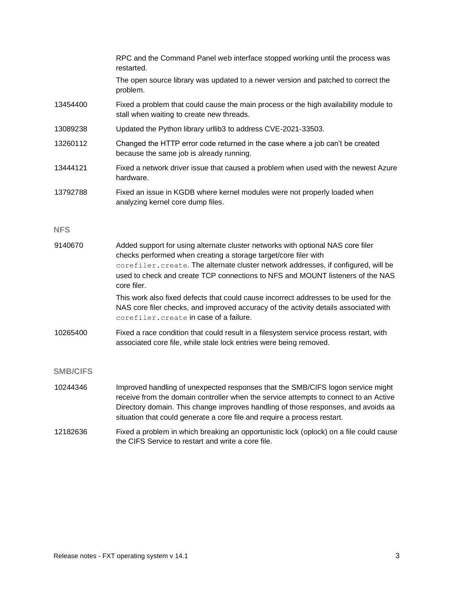<span id="page-2-2"></span><span id="page-2-1"></span><span id="page-2-0"></span>

|                 | RPC and the Command Panel web interface stopped working until the process was<br>restarted.                                                                                                                                                                                                                                               |
|-----------------|-------------------------------------------------------------------------------------------------------------------------------------------------------------------------------------------------------------------------------------------------------------------------------------------------------------------------------------------|
|                 | The open source library was updated to a newer version and patched to correct the<br>problem.                                                                                                                                                                                                                                             |
| 13454400        | Fixed a problem that could cause the main process or the high availability module to<br>stall when waiting to create new threads.                                                                                                                                                                                                         |
| 13089238        | Updated the Python library urllib3 to address CVE-2021-33503.                                                                                                                                                                                                                                                                             |
| 13260112        | Changed the HTTP error code returned in the case where a job can't be created<br>because the same job is already running.                                                                                                                                                                                                                 |
| 13444121        | Fixed a network driver issue that caused a problem when used with the newest Azure<br>hardware.                                                                                                                                                                                                                                           |
| 13792788        | Fixed an issue in KGDB where kernel modules were not properly loaded when<br>analyzing kernel core dump files.                                                                                                                                                                                                                            |
| <b>NFS</b>      |                                                                                                                                                                                                                                                                                                                                           |
| 9140670         | Added support for using alternate cluster networks with optional NAS core filer<br>checks performed when creating a storage target/core filer with<br>corefiler. create. The alternate cluster network addresses, if configured, will be<br>used to check and create TCP connections to NFS and MOUNT listeners of the NAS<br>core filer. |
|                 | This work also fixed defects that could cause incorrect addresses to be used for the<br>NAS core filer checks, and improved accuracy of the activity details associated with<br>corefiler. create in case of a failure.                                                                                                                   |
| 10265400        | Fixed a race condition that could result in a filesystem service process restart, with<br>associated core file, while stale lock entries were being removed.                                                                                                                                                                              |
| <b>SMB/CIFS</b> |                                                                                                                                                                                                                                                                                                                                           |
| 10244346        | Improved handling of unexpected responses that the SMB/CIFS logon service might<br>receive from the domain controller when the service attempts to connect to an Active<br>Directory domain. This change improves handling of those responses, and avoids aa<br>situation that could generate a core file and require a process restart.  |
| 12182636        | Fixed a problem in which breaking an opportunistic lock (oplock) on a file could cause<br>the CIFS Service to restart and write a core file.                                                                                                                                                                                              |